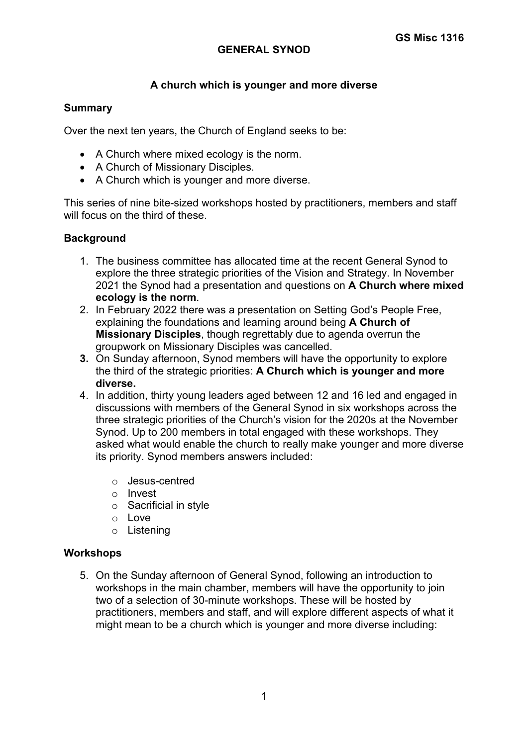## **GENERAL SYNOD**

# **A church which is younger and more diverse**

### **Summary**

Over the next ten years, the Church of England seeks to be:

- A Church where mixed ecology is the norm.
- A Church of Missionary Disciples.
- A Church which is younger and more diverse.

This series of nine bite-sized workshops hosted by practitioners, members and staff will focus on the third of these.

### **Background**

- 1. The business committee has allocated time at the recent General Synod to explore the three strategic priorities of the Vision and Strategy. In November 2021 the Synod had a presentation and questions on **A Church where mixed ecology is the norm**.
- 2. In February 2022 there was a presentation on Setting God's People Free, explaining the foundations and learning around being **A Church of Missionary Disciples**, though regrettably due to agenda overrun the groupwork on Missionary Disciples was cancelled.
- **3.** On Sunday afternoon, Synod members will have the opportunity to explore the third of the strategic priorities: **A Church which is younger and more diverse.**
- 4. In addition, thirty young leaders aged between 12 and 16 led and engaged in discussions with members of the General Synod in six workshops across the three strategic priorities of the Church's vision for the 2020s at the November Synod. Up to 200 members in total engaged with these workshops. They asked what would enable the church to really make younger and more diverse its priority. Synod members answers included:
	- o Jesus-centred
	- o Invest
	- o Sacrificial in style
	- o Love
	- o Listening

### **Workshops**

5. On the Sunday afternoon of General Synod, following an introduction to workshops in the main chamber, members will have the opportunity to join two of a selection of 30-minute workshops. These will be hosted by practitioners, members and staff, and will explore different aspects of what it might mean to be a church which is younger and more diverse including: